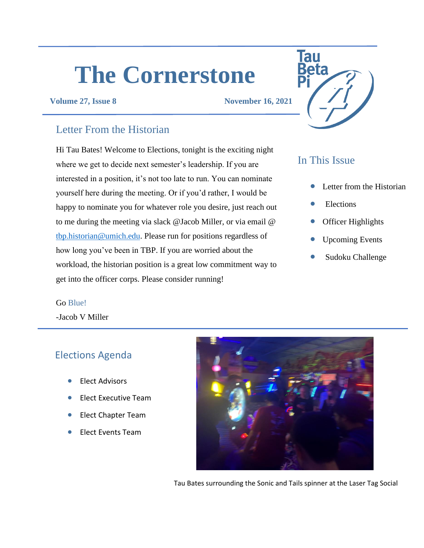# **The Cornerstone**

#### **Volume 27, Issue 8 November 16, 2021**

### Letter From the Historian

Hi Tau Bates! Welcome to Elections, tonight is the exciting night where we get to decide next semester's leadership. If you are interested in a position, it's not too late to run. You can nominate yourself here during the meeting. Or if you'd rather, I would be happy to nominate you for whatever role you desire, just reach out to me during the meeting via slack @Jacob Miller, or via email @ [tbp.historian@umich.edu.](mailto:tbp.historian@umich.edu) Please run for positions regardless of how long you've been in TBP. If you are worried about the workload, the historian position is a great low commitment way to get into the officer corps. Please consider running!

# **Tau**

# In This Issue

- Letter from the Historian
- **Elections**
- Officer Highlights
- Upcoming Events
- Sudoku Challenge

#### Go Blue!

-Jacob V Miller

## Elections Agenda

- Elect Advisors
- Elect Executive Team
- Elect Chapter Team
- Elect Events Team



Tau Bates surrounding the Sonic and Tails spinner at the Laser Tag Social